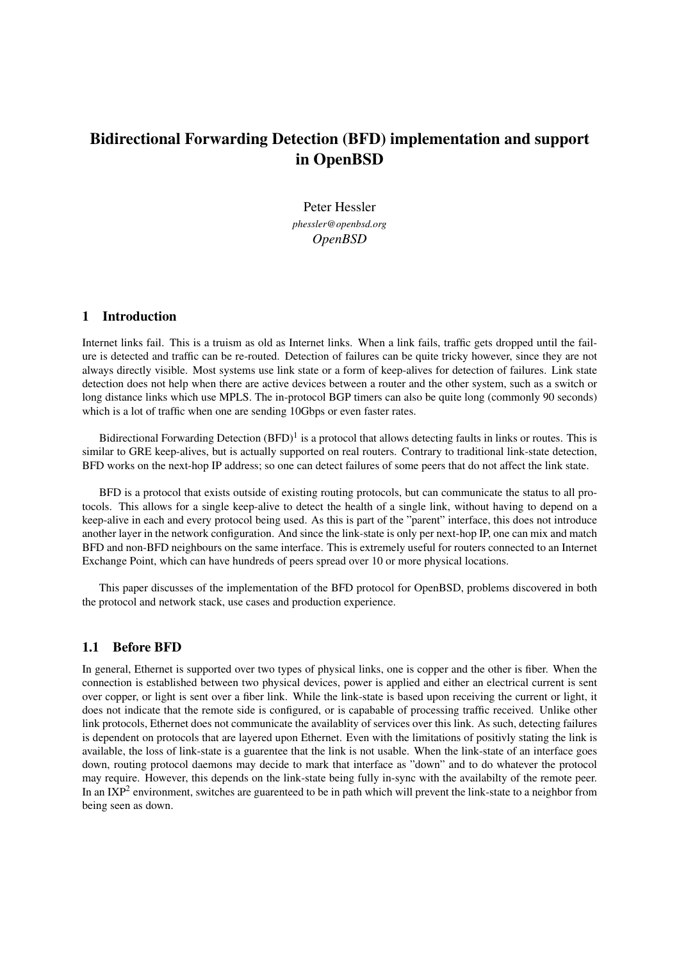# Bidirectional Forwarding Detection (BFD) implementation and support in OpenBSD

Peter Hessler *phessler@openbsd.org OpenBSD*

#### 1 Introduction

Internet links fail. This is a truism as old as Internet links. When a link fails, traffic gets dropped until the failure is detected and traffic can be re-routed. Detection of failures can be quite tricky however, since they are not always directly visible. Most systems use link state or a form of keep-alives for detection of failures. Link state detection does not help when there are active devices between a router and the other system, such as a switch or long distance links which use MPLS. The in-protocol BGP timers can also be quite long (commonly 90 seconds) which is a lot of traffic when one are sending 10Gbps or even faster rates.

Bidirectional Forwarding Detection  $(BFD)^1$  is a protocol that allows detecting faults in links or routes. This is similar to GRE keep-alives, but is actually supported on real routers. Contrary to traditional link-state detection, BFD works on the next-hop IP address; so one can detect failures of some peers that do not affect the link state.

BFD is a protocol that exists outside of existing routing protocols, but can communicate the status to all protocols. This allows for a single keep-alive to detect the health of a single link, without having to depend on a keep-alive in each and every protocol being used. As this is part of the "parent" interface, this does not introduce another layer in the network configuration. And since the link-state is only per next-hop IP, one can mix and match BFD and non-BFD neighbours on the same interface. This is extremely useful for routers connected to an Internet Exchange Point, which can have hundreds of peers spread over 10 or more physical locations.

This paper discusses of the implementation of the BFD protocol for OpenBSD, problems discovered in both the protocol and network stack, use cases and production experience.

#### 1.1 Before BFD

In general, Ethernet is supported over two types of physical links, one is copper and the other is fiber. When the connection is established between two physical devices, power is applied and either an electrical current is sent over copper, or light is sent over a fiber link. While the link-state is based upon receiving the current or light, it does not indicate that the remote side is configured, or is capabable of processing traffic received. Unlike other link protocols, Ethernet does not communicate the availablity of services over this link. As such, detecting failures is dependent on protocols that are layered upon Ethernet. Even with the limitations of positivly stating the link is available, the loss of link-state is a guarentee that the link is not usable. When the link-state of an interface goes down, routing protocol daemons may decide to mark that interface as "down" and to do whatever the protocol may require. However, this depends on the link-state being fully in-sync with the availabilty of the remote peer. In an IXP<sup>2</sup> environment, switches are guarenteed to be in path which will prevent the link-state to a neighbor from being seen as down.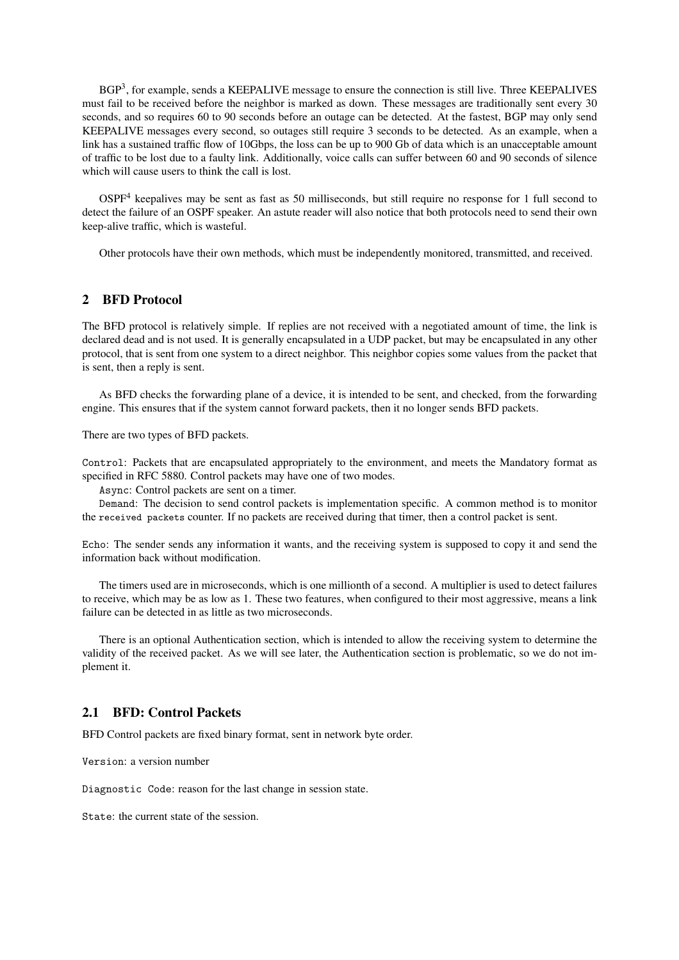BGP<sup>3</sup>, for example, sends a KEEPALIVE message to ensure the connection is still live. Three KEEPALIVES must fail to be received before the neighbor is marked as down. These messages are traditionally sent every 30 seconds, and so requires 60 to 90 seconds before an outage can be detected. At the fastest, BGP may only send KEEPALIVE messages every second, so outages still require 3 seconds to be detected. As an example, when a link has a sustained traffic flow of 10Gbps, the loss can be up to 900 Gb of data which is an unacceptable amount of traffic to be lost due to a faulty link. Additionally, voice calls can suffer between 60 and 90 seconds of silence which will cause users to think the call is lost.

 $OSPF<sup>4</sup>$  keepalives may be sent as fast as 50 milliseconds, but still require no response for 1 full second to detect the failure of an OSPF speaker. An astute reader will also notice that both protocols need to send their own keep-alive traffic, which is wasteful.

Other protocols have their own methods, which must be independently monitored, transmitted, and received.

# 2 BFD Protocol

The BFD protocol is relatively simple. If replies are not received with a negotiated amount of time, the link is declared dead and is not used. It is generally encapsulated in a UDP packet, but may be encapsulated in any other protocol, that is sent from one system to a direct neighbor. This neighbor copies some values from the packet that is sent, then a reply is sent.

As BFD checks the forwarding plane of a device, it is intended to be sent, and checked, from the forwarding engine. This ensures that if the system cannot forward packets, then it no longer sends BFD packets.

There are two types of BFD packets.

Control: Packets that are encapsulated appropriately to the environment, and meets the Mandatory format as specified in RFC 5880. Control packets may have one of two modes.

Async: Control packets are sent on a timer.

Demand: The decision to send control packets is implementation specific. A common method is to monitor the received packets counter. If no packets are received during that timer, then a control packet is sent.

Echo: The sender sends any information it wants, and the receiving system is supposed to copy it and send the information back without modification.

The timers used are in microseconds, which is one millionth of a second. A multiplier is used to detect failures to receive, which may be as low as 1. These two features, when configured to their most aggressive, means a link failure can be detected in as little as two microseconds.

There is an optional Authentication section, which is intended to allow the receiving system to determine the validity of the received packet. As we will see later, the Authentication section is problematic, so we do not implement it.

#### 2.1 BFD: Control Packets

BFD Control packets are fixed binary format, sent in network byte order.

Version: a version number

Diagnostic Code: reason for the last change in session state.

State: the current state of the session.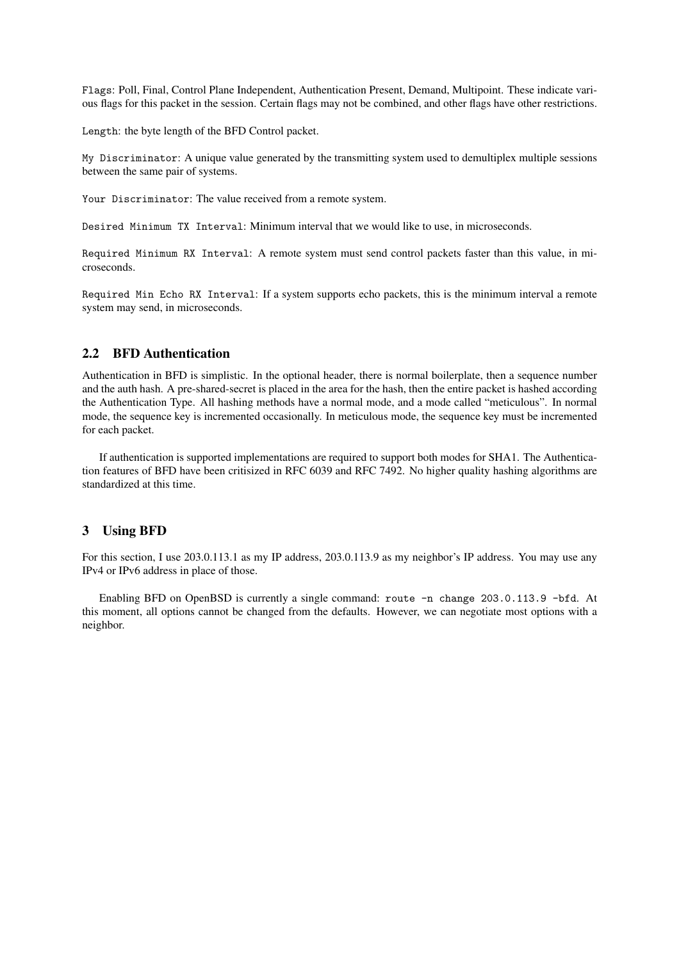Flags: Poll, Final, Control Plane Independent, Authentication Present, Demand, Multipoint. These indicate various flags for this packet in the session. Certain flags may not be combined, and other flags have other restrictions.

Length: the byte length of the BFD Control packet.

My Discriminator: A unique value generated by the transmitting system used to demultiplex multiple sessions between the same pair of systems.

Your Discriminator: The value received from a remote system.

Desired Minimum TX Interval: Minimum interval that we would like to use, in microseconds.

Required Minimum RX Interval: A remote system must send control packets faster than this value, in microseconds.

Required Min Echo RX Interval: If a system supports echo packets, this is the minimum interval a remote system may send, in microseconds.

# 2.2 BFD Authentication

Authentication in BFD is simplistic. In the optional header, there is normal boilerplate, then a sequence number and the auth hash. A pre-shared-secret is placed in the area for the hash, then the entire packet is hashed according the Authentication Type. All hashing methods have a normal mode, and a mode called "meticulous". In normal mode, the sequence key is incremented occasionally. In meticulous mode, the sequence key must be incremented for each packet.

If authentication is supported implementations are required to support both modes for SHA1. The Authentication features of BFD have been critisized in RFC 6039 and RFC 7492. No higher quality hashing algorithms are standardized at this time.

#### 3 Using BFD

For this section, I use 203.0.113.1 as my IP address, 203.0.113.9 as my neighbor's IP address. You may use any IPv4 or IPv6 address in place of those.

Enabling BFD on OpenBSD is currently a single command: route -n change 203.0.113.9 -bfd. At this moment, all options cannot be changed from the defaults. However, we can negotiate most options with a neighbor.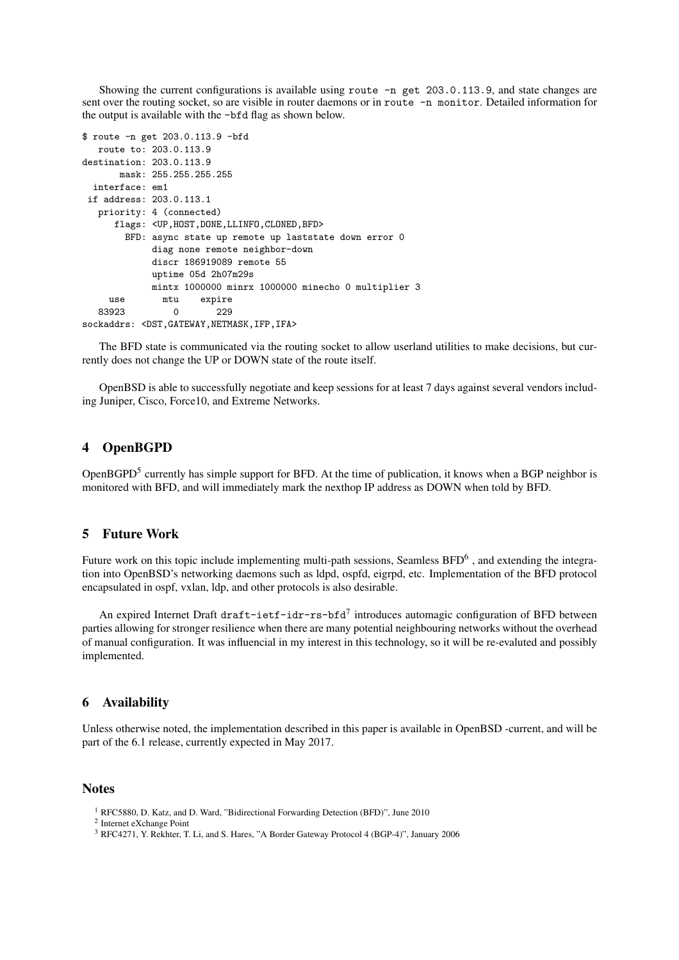Showing the current configurations is available using route -n get 203.0.113.9, and state changes are sent over the routing socket, so are visible in router daemons or in route -n monitor. Detailed information for the output is available with the -bfd flag as shown below.

```
$ route -n get 203.0.113.9 -bfd
  route to: 203.0.113.9
destination: 203.0.113.9
      mask: 255.255.255.255
 interface: em1
if address: 203.0.113.1
  priority: 4 (connected)
     flags: <UP,HOST,DONE,LLINFO,CLONED,BFD>
       BFD: async state up remote up laststate down error 0
            diag none remote neighbor-down
            discr 186919089 remote 55
            uptime 05d 2h07m29s
            mintx 1000000 minrx 1000000 minecho 0 multiplier 3
    use mtu expire
  83923 0 229
sockaddrs: <DST, GATEWAY, NETMASK, IFP, IFA>
```
The BFD state is communicated via the routing socket to allow userland utilities to make decisions, but currently does not change the UP or DOWN state of the route itself.

OpenBSD is able to successfully negotiate and keep sessions for at least 7 days against several vendors including Juniper, Cisco, Force10, and Extreme Networks.

# 4 OpenBGPD

OpenBGPD<sup>5</sup> currently has simple support for BFD. At the time of publication, it knows when a BGP neighbor is monitored with BFD, and will immediately mark the nexthop IP address as DOWN when told by BFD.

#### 5 Future Work

Future work on this topic include implementing multi-path sessions, Seamless BFD<sup>6</sup>, and extending the integration into OpenBSD's networking daemons such as ldpd, ospfd, eigrpd, etc. Implementation of the BFD protocol encapsulated in ospf, vxlan, ldp, and other protocols is also desirable.

An expired Internet Draft draft-ietf-idr-rs-bfd<sup>7</sup> introduces automagic configuration of BFD between parties allowing for stronger resilience when there are many potential neighbouring networks without the overhead of manual configuration. It was influencial in my interest in this technology, so it will be re-evaluted and possibly implemented.

#### 6 Availability

Unless otherwise noted, the implementation described in this paper is available in OpenBSD -current, and will be part of the 6.1 release, currently expected in May 2017.

#### **Notes**

- <sup>1</sup> RFC5880, D. Katz, and D. Ward, "Bidirectional Forwarding Detection (BFD)", June 2010
- 2 Internet eXchange Point
- <sup>3</sup> RFC4271, Y. Rekhter, T. Li, and S. Hares, "A Border Gateway Protocol 4 (BGP-4)", January 2006